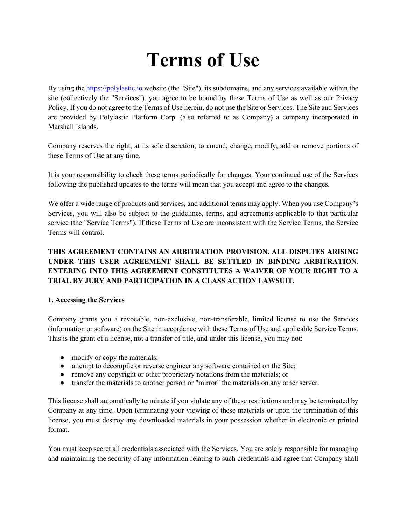# **Terms of Use**

By using the https://polylastic.io website (the "Site"), its subdomains, and any services available within the site (collectively the "Services"), you agree to be bound by these Terms of Use as well as our Privacy Policy. If you do not agree to the Terms of Use herein, do not use the Site or Services. The Site and Services are provided by Polylastic Platform Corp. (also referred to as Company) a company incorporated in Marshall Islands.

Company reserves the right, at its sole discretion, to amend, change, modify, add or remove portions of these Terms of Use at any time.

It is your responsibility to check these terms periodically for changes. Your continued use of the Services following the published updates to the terms will mean that you accept and agree to the changes.

We offer a wide range of products and services, and additional terms may apply. When you use Company's Services, you will also be subject to the guidelines, terms, and agreements applicable to that particular service (the "Service Terms"). If these Terms of Use are inconsistent with the Service Terms, the Service Terms will control.

# **THIS AGREEMENT CONTAINS AN ARBITRATION PROVISION. ALL DISPUTES ARISING UNDER THIS USER AGREEMENT SHALL BE SETTLED IN BINDING ARBITRATION. ENTERING INTO THIS AGREEMENT CONSTITUTES A WAIVER OF YOUR RIGHT TO A TRIAL BY JURY AND PARTICIPATION IN A CLASS ACTION LAWSUIT.**

### **1. Accessing the Services**

Company grants you a revocable, non-exclusive, non-transferable, limited license to use the Services (information or software) on the Site in accordance with these Terms of Use and applicable Service Terms. This is the grant of a license, not a transfer of title, and under this license, you may not:

- modify or copy the materials;
- attempt to decompile or reverse engineer any software contained on the Site;
- remove any copyright or other proprietary notations from the materials; or
- transfer the materials to another person or "mirror" the materials on any other server.

This license shall automatically terminate if you violate any of these restrictions and may be terminated by Company at any time. Upon terminating your viewing of these materials or upon the termination of this license, you must destroy any downloaded materials in your possession whether in electronic or printed format.

You must keep secret all credentials associated with the Services. You are solely responsible for managing and maintaining the security of any information relating to such credentials and agree that Company shall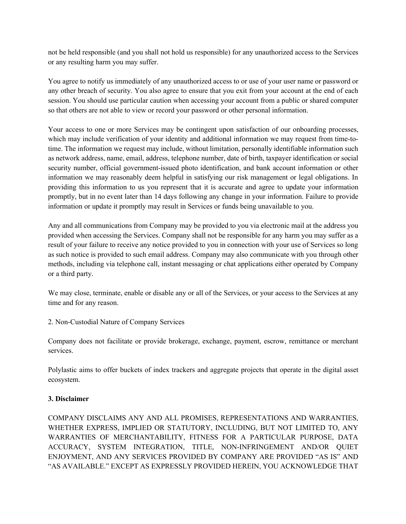not be held responsible (and you shall not hold us responsible) for any unauthorized access to the Services or any resulting harm you may suffer.

You agree to notify us immediately of any unauthorized access to or use of your user name or password or any other breach of security. You also agree to ensure that you exit from your account at the end of each session. You should use particular caution when accessing your account from a public or shared computer so that others are not able to view or record your password or other personal information.

Your access to one or more Services may be contingent upon satisfaction of our onboarding processes, which may include verification of your identity and additional information we may request from time-totime. The information we request may include, without limitation, personally identifiable information such as network address, name, email, address, telephone number, date of birth, taxpayer identification or social security number, official government-issued photo identification, and bank account information or other information we may reasonably deem helpful in satisfying our risk management or legal obligations. In providing this information to us you represent that it is accurate and agree to update your information promptly, but in no event later than 14 days following any change in your information. Failure to provide information or update it promptly may result in Services or funds being unavailable to you.

Any and all communications from Company may be provided to you via electronic mail at the address you provided when accessing the Services. Company shall not be responsible for any harm you may suffer as a result of your failure to receive any notice provided to you in connection with your use of Services so long as such notice is provided to such email address. Company may also communicate with you through other methods, including via telephone call, instant messaging or chat applications either operated by Company or a third party.

We may close, terminate, enable or disable any or all of the Services, or your access to the Services at any time and for any reason.

2. Non-Custodial Nature of Company Services

Company does not facilitate or provide brokerage, exchange, payment, escrow, remittance or merchant services.

Polylastic aims to offer buckets of index trackers and aggregate projects that operate in the digital asset ecosystem.

### **3. Disclaimer**

COMPANY DISCLAIMS ANY AND ALL PROMISES, REPRESENTATIONS AND WARRANTIES, WHETHER EXPRESS, IMPLIED OR STATUTORY, INCLUDING, BUT NOT LIMITED TO, ANY WARRANTIES OF MERCHANTABILITY, FITNESS FOR A PARTICULAR PURPOSE, DATA ACCURACY, SYSTEM INTEGRATION, TITLE, NON-INFRINGEMENT AND/OR QUIET ENJOYMENT, AND ANY SERVICES PROVIDED BY COMPANY ARE PROVIDED "AS IS" AND "AS AVAILABLE." EXCEPT AS EXPRESSLY PROVIDED HEREIN, YOU ACKNOWLEDGE THAT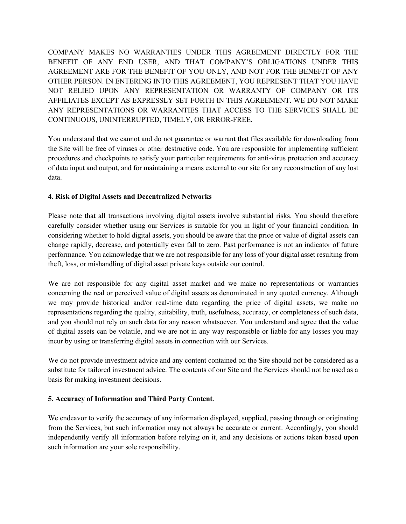COMPANY MAKES NO WARRANTIES UNDER THIS AGREEMENT DIRECTLY FOR THE BENEFIT OF ANY END USER, AND THAT COMPANY'S OBLIGATIONS UNDER THIS AGREEMENT ARE FOR THE BENEFIT OF YOU ONLY, AND NOT FOR THE BENEFIT OF ANY OTHER PERSON. IN ENTERING INTO THIS AGREEMENT, YOU REPRESENT THAT YOU HAVE NOT RELIED UPON ANY REPRESENTATION OR WARRANTY OF COMPANY OR ITS AFFILIATES EXCEPT AS EXPRESSLY SET FORTH IN THIS AGREEMENT. WE DO NOT MAKE ANY REPRESENTATIONS OR WARRANTIES THAT ACCESS TO THE SERVICES SHALL BE CONTINUOUS, UNINTERRUPTED, TIMELY, OR ERROR-FREE.

You understand that we cannot and do not guarantee or warrant that files available for downloading from the Site will be free of viruses or other destructive code. You are responsible for implementing sufficient procedures and checkpoints to satisfy your particular requirements for anti-virus protection and accuracy of data input and output, and for maintaining a means external to our site for any reconstruction of any lost data.

## **4. Risk of Digital Assets and Decentralized Networks**

Please note that all transactions involving digital assets involve substantial risks. You should therefore carefully consider whether using our Services is suitable for you in light of your financial condition. In considering whether to hold digital assets, you should be aware that the price or value of digital assets can change rapidly, decrease, and potentially even fall to zero. Past performance is not an indicator of future performance. You acknowledge that we are not responsible for any loss of your digital asset resulting from theft, loss, or mishandling of digital asset private keys outside our control.

We are not responsible for any digital asset market and we make no representations or warranties concerning the real or perceived value of digital assets as denominated in any quoted currency. Although we may provide historical and/or real-time data regarding the price of digital assets, we make no representations regarding the quality, suitability, truth, usefulness, accuracy, or completeness of such data, and you should not rely on such data for any reason whatsoever. You understand and agree that the value of digital assets can be volatile, and we are not in any way responsible or liable for any losses you may incur by using or transferring digital assets in connection with our Services.

We do not provide investment advice and any content contained on the Site should not be considered as a substitute for tailored investment advice. The contents of our Site and the Services should not be used as a basis for making investment decisions.

## **5. Accuracy of Information and Third Party Content**.

We endeavor to verify the accuracy of any information displayed, supplied, passing through or originating from the Services, but such information may not always be accurate or current. Accordingly, you should independently verify all information before relying on it, and any decisions or actions taken based upon such information are your sole responsibility.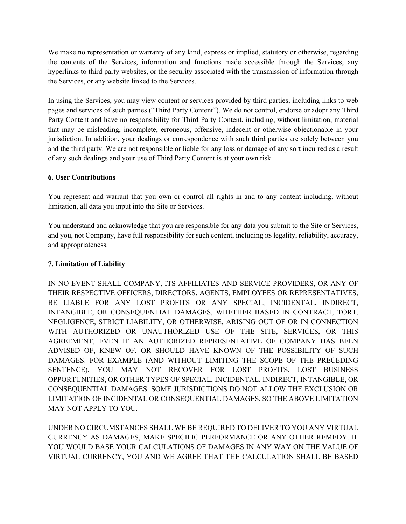We make no representation or warranty of any kind, express or implied, statutory or otherwise, regarding the contents of the Services, information and functions made accessible through the Services, any hyperlinks to third party websites, or the security associated with the transmission of information through the Services, or any website linked to the Services.

In using the Services, you may view content or services provided by third parties, including links to web pages and services of such parties ("Third Party Content"). We do not control, endorse or adopt any Third Party Content and have no responsibility for Third Party Content, including, without limitation, material that may be misleading, incomplete, erroneous, offensive, indecent or otherwise objectionable in your jurisdiction. In addition, your dealings or correspondence with such third parties are solely between you and the third party. We are not responsible or liable for any loss or damage of any sort incurred as a result of any such dealings and your use of Third Party Content is at your own risk.

### **6. User Contributions**

You represent and warrant that you own or control all rights in and to any content including, without limitation, all data you input into the Site or Services.

You understand and acknowledge that you are responsible for any data you submit to the Site or Services, and you, not Company, have full responsibility for such content, including its legality, reliability, accuracy, and appropriateness.

### **7. Limitation of Liability**

IN NO EVENT SHALL COMPANY, ITS AFFILIATES AND SERVICE PROVIDERS, OR ANY OF THEIR RESPECTIVE OFFICERS, DIRECTORS, AGENTS, EMPLOYEES OR REPRESENTATIVES, BE LIABLE FOR ANY LOST PROFITS OR ANY SPECIAL, INCIDENTAL, INDIRECT, INTANGIBLE, OR CONSEQUENTIAL DAMAGES, WHETHER BASED IN CONTRACT, TORT, NEGLIGENCE, STRICT LIABILITY, OR OTHERWISE, ARISING OUT OF OR IN CONNECTION WITH AUTHORIZED OR UNAUTHORIZED USE OF THE SITE, SERVICES, OR THIS AGREEMENT, EVEN IF AN AUTHORIZED REPRESENTATIVE OF COMPANY HAS BEEN ADVISED OF, KNEW OF, OR SHOULD HAVE KNOWN OF THE POSSIBILITY OF SUCH DAMAGES. FOR EXAMPLE (AND WITHOUT LIMITING THE SCOPE OF THE PRECEDING SENTENCE), YOU MAY NOT RECOVER FOR LOST PROFITS, LOST BUSINESS OPPORTUNITIES, OR OTHER TYPES OF SPECIAL, INCIDENTAL, INDIRECT, INTANGIBLE, OR CONSEQUENTIAL DAMAGES. SOME JURISDICTIONS DO NOT ALLOW THE EXCLUSION OR LIMITATION OF INCIDENTAL OR CONSEQUENTIAL DAMAGES, SO THE ABOVE LIMITATION MAY NOT APPLY TO YOU.

UNDER NO CIRCUMSTANCES SHALL WE BE REQUIRED TO DELIVER TO YOU ANY VIRTUAL CURRENCY AS DAMAGES, MAKE SPECIFIC PERFORMANCE OR ANY OTHER REMEDY. IF YOU WOULD BASE YOUR CALCULATIONS OF DAMAGES IN ANY WAY ON THE VALUE OF VIRTUAL CURRENCY, YOU AND WE AGREE THAT THE CALCULATION SHALL BE BASED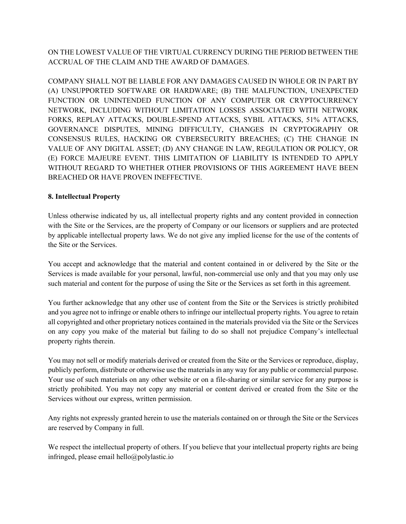ON THE LOWEST VALUE OF THE VIRTUAL CURRENCY DURING THE PERIOD BETWEEN THE ACCRUAL OF THE CLAIM AND THE AWARD OF DAMAGES.

COMPANY SHALL NOT BE LIABLE FOR ANY DAMAGES CAUSED IN WHOLE OR IN PART BY (A) UNSUPPORTED SOFTWARE OR HARDWARE; (B) THE MALFUNCTION, UNEXPECTED FUNCTION OR UNINTENDED FUNCTION OF ANY COMPUTER OR CRYPTOCURRENCY NETWORK, INCLUDING WITHOUT LIMITATION LOSSES ASSOCIATED WITH NETWORK FORKS, REPLAY ATTACKS, DOUBLE-SPEND ATTACKS, SYBIL ATTACKS, 51% ATTACKS, GOVERNANCE DISPUTES, MINING DIFFICULTY, CHANGES IN CRYPTOGRAPHY OR CONSENSUS RULES, HACKING OR CYBERSECURITY BREACHES; (C) THE CHANGE IN VALUE OF ANY DIGITAL ASSET; (D) ANY CHANGE IN LAW, REGULATION OR POLICY, OR (E) FORCE MAJEURE EVENT. THIS LIMITATION OF LIABILITY IS INTENDED TO APPLY WITHOUT REGARD TO WHETHER OTHER PROVISIONS OF THIS AGREEMENT HAVE BEEN BREACHED OR HAVE PROVEN INEFFECTIVE.

## **8. Intellectual Property**

Unless otherwise indicated by us, all intellectual property rights and any content provided in connection with the Site or the Services, are the property of Company or our licensors or suppliers and are protected by applicable intellectual property laws. We do not give any implied license for the use of the contents of the Site or the Services.

You accept and acknowledge that the material and content contained in or delivered by the Site or the Services is made available for your personal, lawful, non-commercial use only and that you may only use such material and content for the purpose of using the Site or the Services as set forth in this agreement.

You further acknowledge that any other use of content from the Site or the Services is strictly prohibited and you agree not to infringe or enable others to infringe our intellectual property rights. You agree to retain all copyrighted and other proprietary notices contained in the materials provided via the Site or the Services on any copy you make of the material but failing to do so shall not prejudice Company's intellectual property rights therein.

You may not sell or modify materials derived or created from the Site or the Services or reproduce, display, publicly perform, distribute or otherwise use the materials in any way for any public or commercial purpose. Your use of such materials on any other website or on a file-sharing or similar service for any purpose is strictly prohibited. You may not copy any material or content derived or created from the Site or the Services without our express, written permission.

Any rights not expressly granted herein to use the materials contained on or through the Site or the Services are reserved by Company in full.

We respect the intellectual property of others. If you believe that your intellectual property rights are being infringed, please email hello@polylastic.io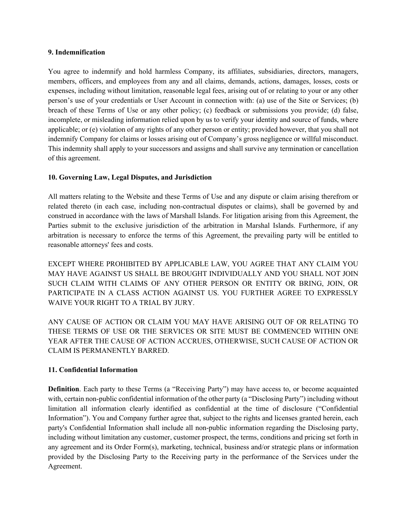#### **9. Indemnification**

You agree to indemnify and hold harmless Company, its affiliates, subsidiaries, directors, managers, members, officers, and employees from any and all claims, demands, actions, damages, losses, costs or expenses, including without limitation, reasonable legal fees, arising out of or relating to your or any other person's use of your credentials or User Account in connection with: (a) use of the Site or Services; (b) breach of these Terms of Use or any other policy; (c) feedback or submissions you provide; (d) false, incomplete, or misleading information relied upon by us to verify your identity and source of funds, where applicable; or (e) violation of any rights of any other person or entity; provided however, that you shall not indemnify Company for claims or losses arising out of Company's gross negligence or willful misconduct. This indemnity shall apply to your successors and assigns and shall survive any termination or cancellation of this agreement.

#### **10. Governing Law, Legal Disputes, and Jurisdiction**

All matters relating to the Website and these Terms of Use and any dispute or claim arising therefrom or related thereto (in each case, including non-contractual disputes or claims), shall be governed by and construed in accordance with the laws of Marshall Islands. For litigation arising from this Agreement, the Parties submit to the exclusive jurisdiction of the arbitration in Marshal Islands. Furthermore, if any arbitration is necessary to enforce the terms of this Agreement, the prevailing party will be entitled to reasonable attorneys' fees and costs.

EXCEPT WHERE PROHIBITED BY APPLICABLE LAW, YOU AGREE THAT ANY CLAIM YOU MAY HAVE AGAINST US SHALL BE BROUGHT INDIVIDUALLY AND YOU SHALL NOT JOIN SUCH CLAIM WITH CLAIMS OF ANY OTHER PERSON OR ENTITY OR BRING, JOIN, OR PARTICIPATE IN A CLASS ACTION AGAINST US. YOU FURTHER AGREE TO EXPRESSLY WAIVE YOUR RIGHT TO A TRIAL BY JURY.

ANY CAUSE OF ACTION OR CLAIM YOU MAY HAVE ARISING OUT OF OR RELATING TO THESE TERMS OF USE OR THE SERVICES OR SITE MUST BE COMMENCED WITHIN ONE YEAR AFTER THE CAUSE OF ACTION ACCRUES, OTHERWISE, SUCH CAUSE OF ACTION OR CLAIM IS PERMANENTLY BARRED.

### **11. Confidential Information**

**Definition**. Each party to these Terms (a "Receiving Party") may have access to, or become acquainted with, certain non-public confidential information of the other party (a "Disclosing Party") including without limitation all information clearly identified as confidential at the time of disclosure ("Confidential Information"). You and Company further agree that, subject to the rights and licenses granted herein, each party's Confidential Information shall include all non-public information regarding the Disclosing party, including without limitation any customer, customer prospect, the terms, conditions and pricing set forth in any agreement and its Order Form(s), marketing, technical, business and/or strategic plans or information provided by the Disclosing Party to the Receiving party in the performance of the Services under the Agreement.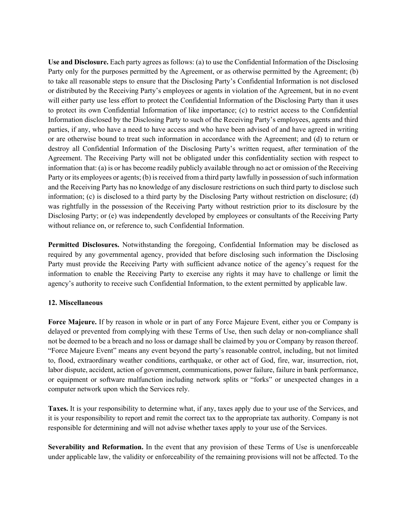**Use and Disclosure.** Each party agrees as follows: (a) to use the Confidential Information of the Disclosing Party only for the purposes permitted by the Agreement, or as otherwise permitted by the Agreement; (b) to take all reasonable steps to ensure that the Disclosing Party's Confidential Information is not disclosed or distributed by the Receiving Party's employees or agents in violation of the Agreement, but in no event will either party use less effort to protect the Confidential Information of the Disclosing Party than it uses to protect its own Confidential Information of like importance; (c) to restrict access to the Confidential Information disclosed by the Disclosing Party to such of the Receiving Party's employees, agents and third parties, if any, who have a need to have access and who have been advised of and have agreed in writing or are otherwise bound to treat such information in accordance with the Agreement; and (d) to return or destroy all Confidential Information of the Disclosing Party's written request, after termination of the Agreement. The Receiving Party will not be obligated under this confidentiality section with respect to information that: (a) is or has become readily publicly available through no act or omission of the Receiving Party or its employees or agents; (b) is received from a third party lawfully in possession of such information and the Receiving Party has no knowledge of any disclosure restrictions on such third party to disclose such information; (c) is disclosed to a third party by the Disclosing Party without restriction on disclosure; (d) was rightfully in the possession of the Receiving Party without restriction prior to its disclosure by the Disclosing Party; or (e) was independently developed by employees or consultants of the Receiving Party without reliance on, or reference to, such Confidential Information.

**Permitted Disclosures.** Notwithstanding the foregoing, Confidential Information may be disclosed as required by any governmental agency, provided that before disclosing such information the Disclosing Party must provide the Receiving Party with sufficient advance notice of the agency's request for the information to enable the Receiving Party to exercise any rights it may have to challenge or limit the agency's authority to receive such Confidential Information, to the extent permitted by applicable law.

#### **12. Miscellaneous**

**Force Majeure.** If by reason in whole or in part of any Force Majeure Event, either you or Company is delayed or prevented from complying with these Terms of Use, then such delay or non-compliance shall not be deemed to be a breach and no loss or damage shall be claimed by you or Company by reason thereof. "Force Majeure Event" means any event beyond the party's reasonable control, including, but not limited to, flood, extraordinary weather conditions, earthquake, or other act of God, fire, war, insurrection, riot, labor dispute, accident, action of government, communications, power failure, failure in bank performance, or equipment or software malfunction including network splits or "forks" or unexpected changes in a computer network upon which the Services rely.

**Taxes.** It is your responsibility to determine what, if any, taxes apply due to your use of the Services, and it is your responsibility to report and remit the correct tax to the appropriate tax authority. Company is not responsible for determining and will not advise whether taxes apply to your use of the Services.

**Severability and Reformation.** In the event that any provision of these Terms of Use is unenforceable under applicable law, the validity or enforceability of the remaining provisions will not be affected. To the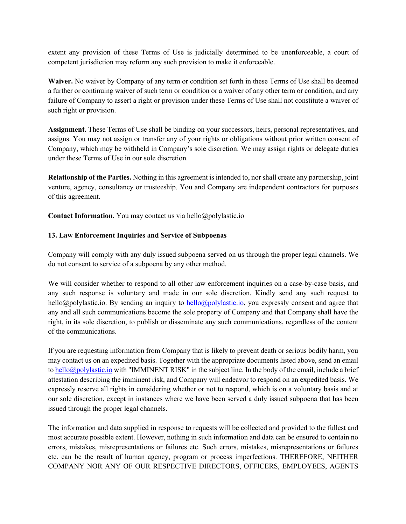extent any provision of these Terms of Use is judicially determined to be unenforceable, a court of competent jurisdiction may reform any such provision to make it enforceable.

**Waiver.** No waiver by Company of any term or condition set forth in these Terms of Use shall be deemed a further or continuing waiver of such term or condition or a waiver of any other term or condition, and any failure of Company to assert a right or provision under these Terms of Use shall not constitute a waiver of such right or provision.

**Assignment.** These Terms of Use shall be binding on your successors, heirs, personal representatives, and assigns. You may not assign or transfer any of your rights or obligations without prior written consent of Company, which may be withheld in Company's sole discretion. We may assign rights or delegate duties under these Terms of Use in our sole discretion.

**Relationship of the Parties.** Nothing in this agreement is intended to, nor shall create any partnership, joint venture, agency, consultancy or trusteeship. You and Company are independent contractors for purposes of this agreement.

**Contact Information.** You may contact us via hello@polylastic.io

### **13. Law Enforcement Inquiries and Service of Subpoenas**

Company will comply with any duly issued subpoena served on us through the proper legal channels. We do not consent to service of a subpoena by any other method.

We will consider whether to respond to all other law enforcement inquiries on a case-by-case basis, and any such response is voluntary and made in our sole discretion. Kindly send any such request to hello@polylastic.io. By sending an inquiry to hello@polylastic.io, you expressly consent and agree that any and all such communications become the sole property of Company and that Company shall have the right, in its sole discretion, to publish or disseminate any such communications, regardless of the content of the communications.

If you are requesting information from Company that is likely to prevent death or serious bodily harm, you may contact us on an expedited basis. Together with the appropriate documents listed above, send an email to hello@polylastic.io with "IMMINENT RISK" in the subject line. In the body of the email, include a brief attestation describing the imminent risk, and Company will endeavor to respond on an expedited basis. We expressly reserve all rights in considering whether or not to respond, which is on a voluntary basis and at our sole discretion, except in instances where we have been served a duly issued subpoena that has been issued through the proper legal channels.

The information and data supplied in response to requests will be collected and provided to the fullest and most accurate possible extent. However, nothing in such information and data can be ensured to contain no errors, mistakes, misrepresentations or failures etc. Such errors, mistakes, misrepresentations or failures etc. can be the result of human agency, program or process imperfections. THEREFORE, NEITHER COMPANY NOR ANY OF OUR RESPECTIVE DIRECTORS, OFFICERS, EMPLOYEES, AGENTS